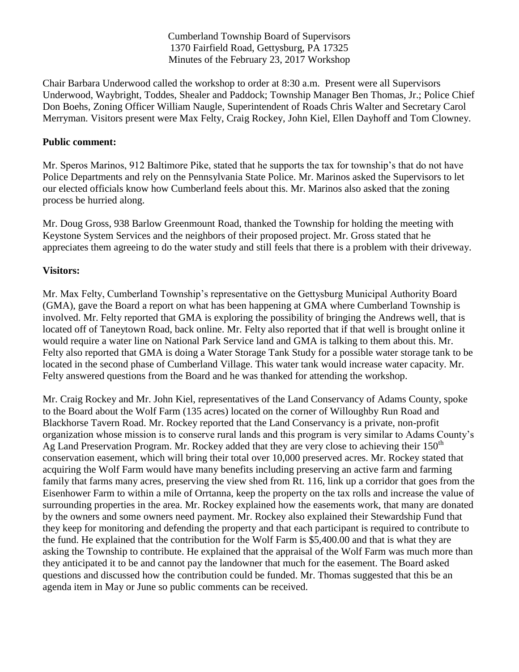Cumberland Township Board of Supervisors 1370 Fairfield Road, Gettysburg, PA 17325 Minutes of the February 23, 2017 Workshop

Chair Barbara Underwood called the workshop to order at 8:30 a.m. Present were all Supervisors Underwood, Waybright, Toddes, Shealer and Paddock; Township Manager Ben Thomas, Jr.; Police Chief Don Boehs, Zoning Officer William Naugle, Superintendent of Roads Chris Walter and Secretary Carol Merryman. Visitors present were Max Felty, Craig Rockey, John Kiel, Ellen Dayhoff and Tom Clowney.

## **Public comment:**

Mr. Speros Marinos, 912 Baltimore Pike, stated that he supports the tax for township's that do not have Police Departments and rely on the Pennsylvania State Police. Mr. Marinos asked the Supervisors to let our elected officials know how Cumberland feels about this. Mr. Marinos also asked that the zoning process be hurried along.

Mr. Doug Gross, 938 Barlow Greenmount Road, thanked the Township for holding the meeting with Keystone System Services and the neighbors of their proposed project. Mr. Gross stated that he appreciates them agreeing to do the water study and still feels that there is a problem with their driveway.

## **Visitors:**

Mr. Max Felty, Cumberland Township's representative on the Gettysburg Municipal Authority Board (GMA), gave the Board a report on what has been happening at GMA where Cumberland Township is involved. Mr. Felty reported that GMA is exploring the possibility of bringing the Andrews well, that is located off of Taneytown Road, back online. Mr. Felty also reported that if that well is brought online it would require a water line on National Park Service land and GMA is talking to them about this. Mr. Felty also reported that GMA is doing a Water Storage Tank Study for a possible water storage tank to be located in the second phase of Cumberland Village. This water tank would increase water capacity. Mr. Felty answered questions from the Board and he was thanked for attending the workshop.

Mr. Craig Rockey and Mr. John Kiel, representatives of the Land Conservancy of Adams County, spoke to the Board about the Wolf Farm (135 acres) located on the corner of Willoughby Run Road and Blackhorse Tavern Road. Mr. Rockey reported that the Land Conservancy is a private, non-profit organization whose mission is to conserve rural lands and this program is very similar to Adams County's Ag Land Preservation Program. Mr. Rockey added that they are very close to achieving their  $150<sup>th</sup>$ conservation easement, which will bring their total over 10,000 preserved acres. Mr. Rockey stated that acquiring the Wolf Farm would have many benefits including preserving an active farm and farming family that farms many acres, preserving the view shed from Rt. 116, link up a corridor that goes from the Eisenhower Farm to within a mile of Orrtanna, keep the property on the tax rolls and increase the value of surrounding properties in the area. Mr. Rockey explained how the easements work, that many are donated by the owners and some owners need payment. Mr. Rockey also explained their Stewardship Fund that they keep for monitoring and defending the property and that each participant is required to contribute to the fund. He explained that the contribution for the Wolf Farm is \$5,400.00 and that is what they are asking the Township to contribute. He explained that the appraisal of the Wolf Farm was much more than they anticipated it to be and cannot pay the landowner that much for the easement. The Board asked questions and discussed how the contribution could be funded. Mr. Thomas suggested that this be an agenda item in May or June so public comments can be received.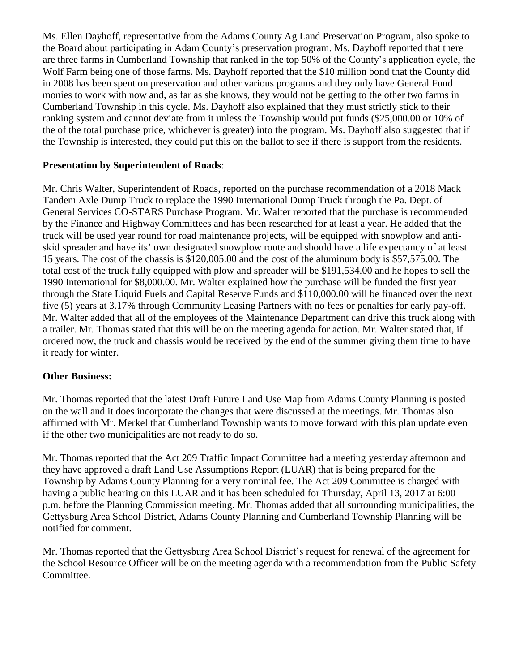Ms. Ellen Dayhoff, representative from the Adams County Ag Land Preservation Program, also spoke to the Board about participating in Adam County's preservation program. Ms. Dayhoff reported that there are three farms in Cumberland Township that ranked in the top 50% of the County's application cycle, the Wolf Farm being one of those farms. Ms. Dayhoff reported that the \$10 million bond that the County did in 2008 has been spent on preservation and other various programs and they only have General Fund monies to work with now and, as far as she knows, they would not be getting to the other two farms in Cumberland Township in this cycle. Ms. Dayhoff also explained that they must strictly stick to their ranking system and cannot deviate from it unless the Township would put funds (\$25,000.00 or 10% of the of the total purchase price, whichever is greater) into the program. Ms. Dayhoff also suggested that if the Township is interested, they could put this on the ballot to see if there is support from the residents.

## **Presentation by Superintendent of Roads**:

Mr. Chris Walter, Superintendent of Roads, reported on the purchase recommendation of a 2018 Mack Tandem Axle Dump Truck to replace the 1990 International Dump Truck through the Pa. Dept. of General Services CO-STARS Purchase Program. Mr. Walter reported that the purchase is recommended by the Finance and Highway Committees and has been researched for at least a year. He added that the truck will be used year round for road maintenance projects, will be equipped with snowplow and antiskid spreader and have its' own designated snowplow route and should have a life expectancy of at least 15 years. The cost of the chassis is \$120,005.00 and the cost of the aluminum body is \$57,575.00. The total cost of the truck fully equipped with plow and spreader will be \$191,534.00 and he hopes to sell the 1990 International for \$8,000.00. Mr. Walter explained how the purchase will be funded the first year through the State Liquid Fuels and Capital Reserve Funds and \$110,000.00 will be financed over the next five (5) years at 3.17% through Community Leasing Partners with no fees or penalties for early pay-off. Mr. Walter added that all of the employees of the Maintenance Department can drive this truck along with a trailer. Mr. Thomas stated that this will be on the meeting agenda for action. Mr. Walter stated that, if ordered now, the truck and chassis would be received by the end of the summer giving them time to have it ready for winter.

## **Other Business:**

Mr. Thomas reported that the latest Draft Future Land Use Map from Adams County Planning is posted on the wall and it does incorporate the changes that were discussed at the meetings. Mr. Thomas also affirmed with Mr. Merkel that Cumberland Township wants to move forward with this plan update even if the other two municipalities are not ready to do so.

Mr. Thomas reported that the Act 209 Traffic Impact Committee had a meeting yesterday afternoon and they have approved a draft Land Use Assumptions Report (LUAR) that is being prepared for the Township by Adams County Planning for a very nominal fee. The Act 209 Committee is charged with having a public hearing on this LUAR and it has been scheduled for Thursday, April 13, 2017 at 6:00 p.m. before the Planning Commission meeting. Mr. Thomas added that all surrounding municipalities, the Gettysburg Area School District, Adams County Planning and Cumberland Township Planning will be notified for comment.

Mr. Thomas reported that the Gettysburg Area School District's request for renewal of the agreement for the School Resource Officer will be on the meeting agenda with a recommendation from the Public Safety Committee.